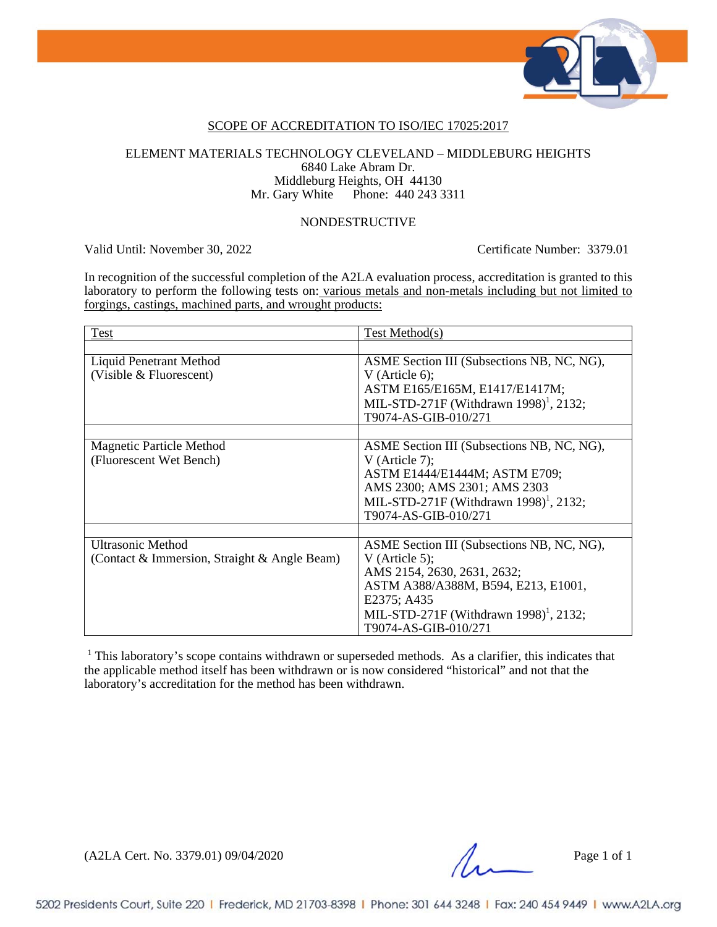

### SCOPE OF ACCREDITATION TO ISO/IEC 17025:2017

### ELEMENT MATERIALS TECHNOLOGY CLEVELAND – MIDDLEBURG HEIGHTS 6840 Lake Abram Dr. Middleburg Heights, OH 44130 Mr. Gary White Phone: 440 243 3311

### NONDESTRUCTIVE

Valid Until: November 30, 2022 Certificate Number: 3379.01

In recognition of the successful completion of the A2LA evaluation process, accreditation is granted to this laboratory to perform the following tests on: various metals and non-metals including but not limited to forgings, castings, machined parts, and wrought products:

| Test                                                                     | Test Method(s)                                                                                                                                                                                                                  |
|--------------------------------------------------------------------------|---------------------------------------------------------------------------------------------------------------------------------------------------------------------------------------------------------------------------------|
|                                                                          |                                                                                                                                                                                                                                 |
| Liquid Penetrant Method<br>(Visible & Fluorescent)                       | ASME Section III (Subsections NB, NC, NG),<br>V (Article 6);<br>ASTM E165/E165M, E1417/E1417M;<br>MIL-STD-271F (Withdrawn 1998) <sup>1</sup> , 2132;<br>T9074-AS-GIB-010/271                                                    |
|                                                                          |                                                                                                                                                                                                                                 |
| <b>Magnetic Particle Method</b><br>(Fluorescent Wet Bench)               | ASME Section III (Subsections NB, NC, NG),<br>V (Article 7);<br>ASTM E1444/E1444M; ASTM E709;<br>AMS 2300; AMS 2301; AMS 2303<br>MIL-STD-271F (Withdrawn 1998) <sup>1</sup> , 2132;<br>T9074-AS-GIB-010/271                     |
|                                                                          |                                                                                                                                                                                                                                 |
| <b>Ultrasonic Method</b><br>(Contact & Immersion, Straight & Angle Beam) | ASME Section III (Subsections NB, NC, NG),<br>V (Article 5);<br>AMS 2154, 2630, 2631, 2632;<br>ASTM A388/A388M, B594, E213, E1001,<br>E2375; A435<br>MIL-STD-271F (Withdrawn 1998) <sup>1</sup> , 2132;<br>T9074-AS-GIB-010/271 |

<sup>1</sup> This laboratory's scope contains withdrawn or superseded methods. As a clarifier, this indicates that the applicable method itself has been withdrawn or is now considered "historical" and not that the laboratory's accreditation for the method has been withdrawn.

(A2LA Cert. No. 3379.01) 09/04/2020 Page 1 of 1